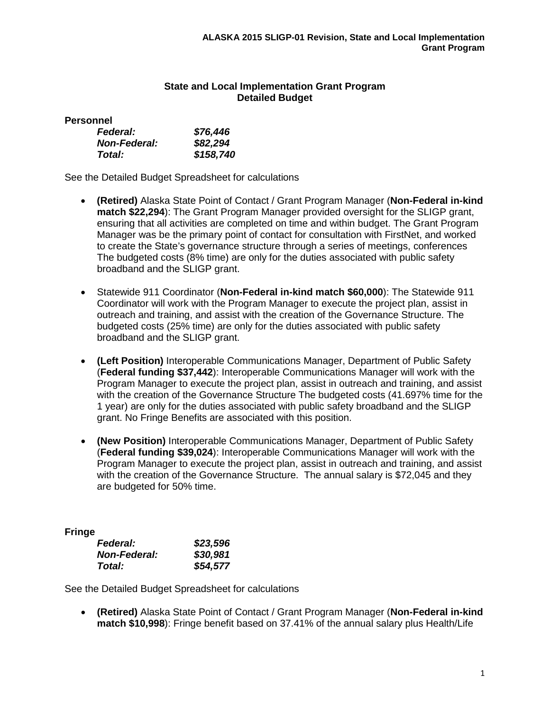# **State and Local Implementation Grant Program Detailed Budget**

**Personnel**

| <b>Federal:</b>     | \$76,446  |
|---------------------|-----------|
| <b>Non-Federal:</b> | \$82,294  |
| Total:              | \$158,740 |

See the Detailed Budget Spreadsheet for calculations

- **(Retired)** Alaska State Point of Contact / Grant Program Manager (**Non-Federal in-kind match \$22,294**): The Grant Program Manager provided oversight for the SLIGP grant, ensuring that all activities are completed on time and within budget. The Grant Program Manager was be the primary point of contact for consultation with FirstNet, and worked to create the State's governance structure through a series of meetings, conferences The budgeted costs (8% time) are only for the duties associated with public safety broadband and the SLIGP grant.
- Statewide 911 Coordinator (**Non-Federal in-kind match \$60,000**): The Statewide 911 Coordinator will work with the Program Manager to execute the project plan, assist in outreach and training, and assist with the creation of the Governance Structure. The budgeted costs (25% time) are only for the duties associated with public safety broadband and the SLIGP grant.
- **(Left Position)** Interoperable Communications Manager, Department of Public Safety (**Federal funding \$37,442**): Interoperable Communications Manager will work with the Program Manager to execute the project plan, assist in outreach and training, and assist with the creation of the Governance Structure The budgeted costs (41.697% time for the 1 year) are only for the duties associated with public safety broadband and the SLIGP grant. No Fringe Benefits are associated with this position.
- **(New Position)** Interoperable Communications Manager, Department of Public Safety (**Federal funding \$39,024**): Interoperable Communications Manager will work with the Program Manager to execute the project plan, assist in outreach and training, and assist with the creation of the Governance Structure. The annual salary is \$72,045 and they are budgeted for 50% time.

**Fringe**

| <b>Federal:</b>     | \$23,596 |
|---------------------|----------|
| <b>Non-Federal:</b> | \$30,981 |
| Total:              | \$54,577 |

See the Detailed Budget Spreadsheet for calculations

• **(Retired)** Alaska State Point of Contact / Grant Program Manager (**Non-Federal in-kind match \$10,998**): Fringe benefit based on 37.41% of the annual salary plus Health/Life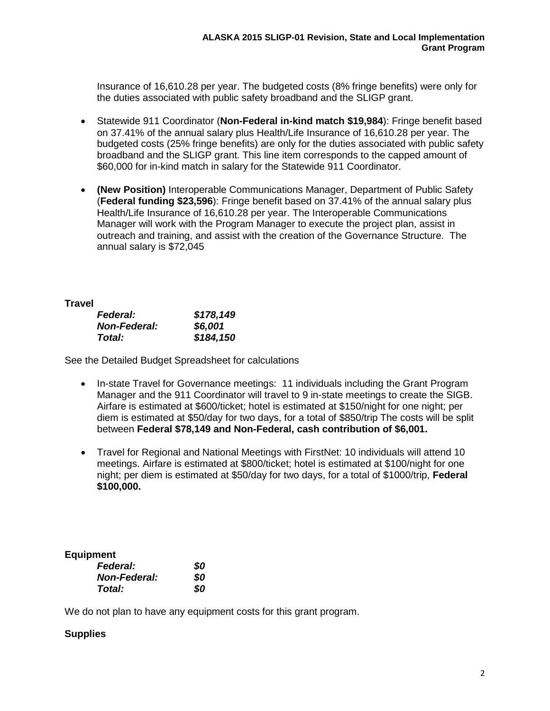Insurance of 16,610.28 per year. The budgeted costs (8% fringe benefits) were only for the duties associated with public safety broadband and the SLIGP grant.

- Statewide 911 Coordinator (**Non-Federal in-kind match \$19,984**): Fringe benefit based on 37.41% of the annual salary plus Health/Life Insurance of 16,610.28 per year. The budgeted costs (25% fringe benefits) are only for the duties associated with public safety broadband and the SLIGP grant. This line item corresponds to the capped amount of \$60,000 for in-kind match in salary for the Statewide 911 Coordinator.
- **(New Position)** Interoperable Communications Manager, Department of Public Safety (**Federal funding \$23,596**): Fringe benefit based on 37.41% of the annual salary plus Health/Life Insurance of 16,610.28 per year. The Interoperable Communications Manager will work with the Program Manager to execute the project plan, assist in outreach and training, and assist with the creation of the Governance Structure. The annual salary is \$72,045

## **Travel**

| <b>Federal:</b>     | \$178,149 |
|---------------------|-----------|
| <b>Non-Federal:</b> | \$6,001   |
| Total:              | \$184,150 |

See the Detailed Budget Spreadsheet for calculations

- In-state Travel for Governance meetings: 11 individuals including the Grant Program Manager and the 911 Coordinator will travel to 9 in-state meetings to create the SIGB. Airfare is estimated at \$600/ticket; hotel is estimated at \$150/night for one night; per diem is estimated at \$50/day for two days, for a total of \$850/trip The costs will be split between **Federal \$78,149 and Non-Federal, cash contribution of \$6,001.**
- Travel for Regional and National Meetings with FirstNet: 10 individuals will attend 10 meetings. Airfare is estimated at \$800/ticket; hotel is estimated at \$100/night for one night; per diem is estimated at \$50/day for two days, for a total of \$1000/trip, **Federal \$100,000.**

**Equipment**

| <b>Federal:</b>     | 80  |
|---------------------|-----|
| <b>Non-Federal:</b> | 80  |
| Total:              | SO. |

We do not plan to have any equipment costs for this grant program.

## **Supplies**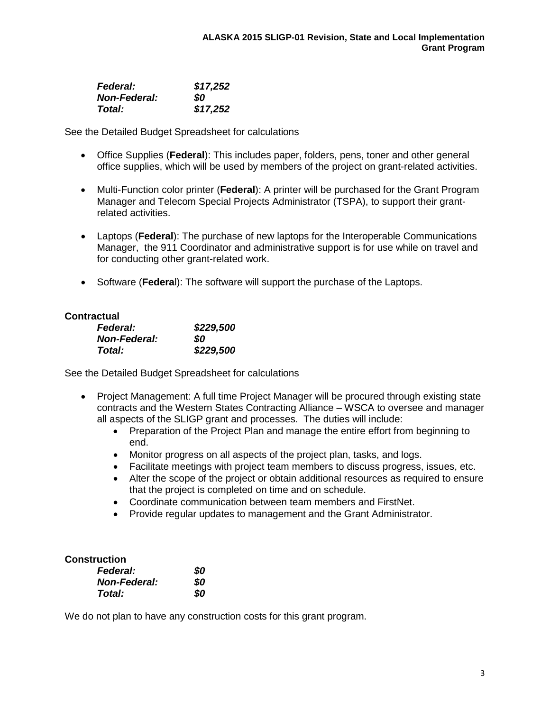| <b>Federal:</b>     | \$17,252 |
|---------------------|----------|
| <b>Non-Federal:</b> | SO       |
| Total:              | \$17,252 |

See the Detailed Budget Spreadsheet for calculations

- Office Supplies (**Federal**): This includes paper, folders, pens, toner and other general office supplies, which will be used by members of the project on grant-related activities.
- Multi-Function color printer (**Federal**): A printer will be purchased for the Grant Program Manager and Telecom Special Projects Administrator (TSPA), to support their grantrelated activities.
- Laptops (**Federal**): The purchase of new laptops for the Interoperable Communications Manager, the 911 Coordinator and administrative support is for use while on travel and for conducting other grant-related work.
- Software (**Federa**l): The software will support the purchase of the Laptops.

## **Contractual**

| <b>Federal:</b>     | \$229,500 |
|---------------------|-----------|
| <b>Non-Federal:</b> | SO        |
| Total:              | \$229,500 |

See the Detailed Budget Spreadsheet for calculations

- Project Management: A full time Project Manager will be procured through existing state contracts and the Western States Contracting Alliance – WSCA to oversee and manager all aspects of the SLIGP grant and processes. The duties will include:
	- Preparation of the Project Plan and manage the entire effort from beginning to end.
	- Monitor progress on all aspects of the project plan, tasks, and logs.
	- Facilitate meetings with project team members to discuss progress, issues, etc.
	- Alter the scope of the project or obtain additional resources as required to ensure that the project is completed on time and on schedule.
	- Coordinate communication between team members and FirstNet.
	- Provide regular updates to management and the Grant Administrator.

#### **Construction**

| <b>Federal:</b>     | 80 |
|---------------------|----|
| <b>Non-Federal:</b> | 80 |
| Total:              | SO |

We do not plan to have any construction costs for this grant program.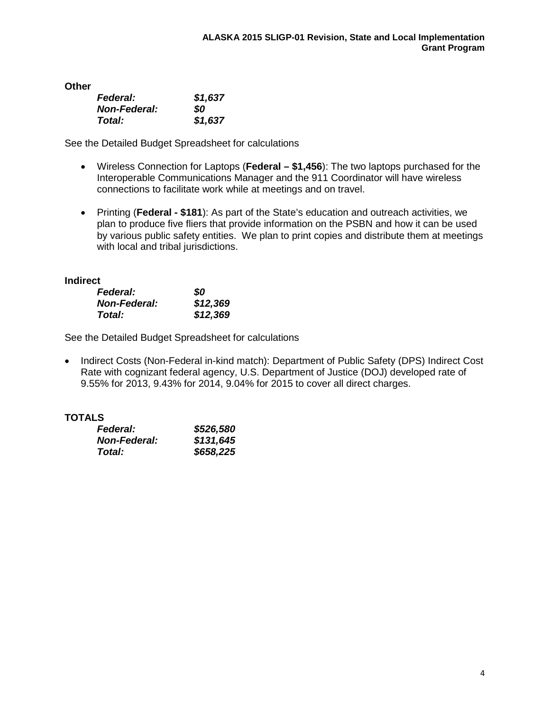| Other |                     |  |
|-------|---------------------|--|
|       | <b>Federal:</b>     |  |
|       | <b>Non-Federal:</b> |  |

| ı cucıaı.           | וטיוע   |
|---------------------|---------|
| <b>Non-Federal:</b> | SO.     |
| Total:              | \$1,637 |

See the Detailed Budget Spreadsheet for calculations

*Federal: \$1,637*

- Wireless Connection for Laptops (**Federal – \$1,456**): The two laptops purchased for the Interoperable Communications Manager and the 911 Coordinator will have wireless connections to facilitate work while at meetings and on travel.
- Printing (**Federal - \$181**): As part of the State's education and outreach activities, we plan to produce five fliers that provide information on the PSBN and how it can be used by various public safety entities. We plan to print copies and distribute them at meetings with local and tribal jurisdictions.

# **Indirect**

| <b>Federal:</b>     | 80       |
|---------------------|----------|
| <b>Non-Federal:</b> | \$12,369 |
| Total:              | \$12,369 |

See the Detailed Budget Spreadsheet for calculations

• Indirect Costs (Non-Federal in-kind match): Department of Public Safety (DPS) Indirect Cost Rate with cognizant federal agency, U.S. Department of Justice (DOJ) developed rate of 9.55% for 2013, 9.43% for 2014, 9.04% for 2015 to cover all direct charges.

# **TOTALS**

| <b>Federal:</b>      | \$526,580 |
|----------------------|-----------|
| <b>Non-Federal:</b>  | \$131,645 |
| <i><b>Total:</b></i> | \$658,225 |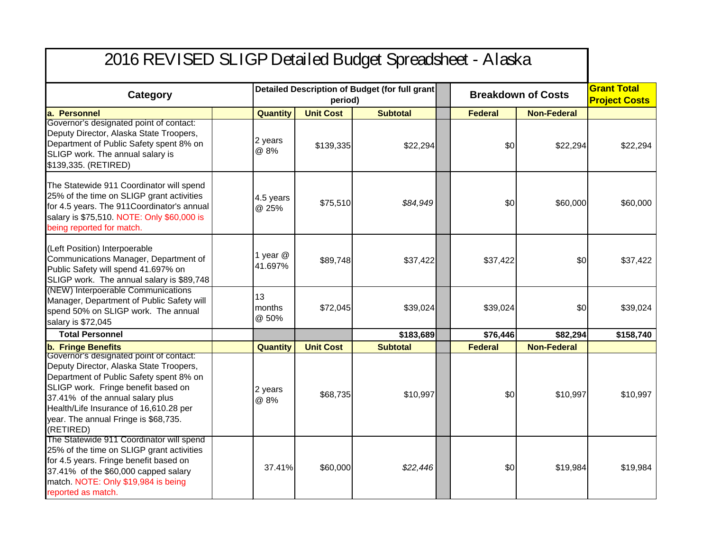# 2016 REVISED SLIGP Detailed Budget Spreadsheet - Alaska

| Category                                                                                                                                                                                                                                                                                                | Detailed Description of Budget (for full grant<br>period) |                  | <b>Breakdown of Costs</b> |                | <b>Grant Total</b><br><b>Project Costs</b> |           |
|---------------------------------------------------------------------------------------------------------------------------------------------------------------------------------------------------------------------------------------------------------------------------------------------------------|-----------------------------------------------------------|------------------|---------------------------|----------------|--------------------------------------------|-----------|
| a. Personnel                                                                                                                                                                                                                                                                                            | <b>Quantity</b>                                           | <b>Unit Cost</b> | <b>Subtotal</b>           | <b>Federal</b> | <b>Non-Federal</b>                         |           |
| Governor's designated point of contact:<br>Deputy Director, Alaska State Troopers,<br>Department of Public Safety spent 8% on<br>SLIGP work. The annual salary is<br>\$139,335. (RETIRED)                                                                                                               | 2 years<br>@ 8%                                           | \$139,335        | \$22,294                  | \$0            | \$22,294                                   | \$22,294  |
| The Statewide 911 Coordinator will spend<br>25% of the time on SLIGP grant activities<br>for 4.5 years. The 911 Coordinator's annual<br>salary is \$75,510. NOTE: Only \$60,000 is<br>being reported for match.                                                                                         | 4.5 years<br>@ 25%                                        | \$75,510         | \$84,949                  | \$0            | \$60,000                                   | \$60,000  |
| (Left Position) Interpoerable<br>Communications Manager, Department of<br>Public Safety will spend 41.697% on<br>SLIGP work. The annual salary is \$89,748                                                                                                                                              | 1 year @<br>41.697%                                       | \$89,748         | \$37,422                  | \$37,422       | \$0                                        | \$37,422  |
| (NEW) Interpoerable Communications<br>Manager, Department of Public Safety will<br>spend 50% on SLIGP work. The annual<br>salary is \$72,045                                                                                                                                                            | 13<br>months<br>@ 50%                                     | \$72,045         | \$39,024                  | \$39,024       | \$0                                        | \$39,024  |
| <b>Total Personnel</b>                                                                                                                                                                                                                                                                                  |                                                           |                  | \$183,689                 | \$76,446       | \$82,294                                   | \$158,740 |
| <b>b.</b> Fringe Benefits                                                                                                                                                                                                                                                                               | Quantity                                                  | <b>Unit Cost</b> | <b>Subtotal</b>           | <b>Federal</b> | <b>Non-Federal</b>                         |           |
| Governor's designated point of contact:<br>Deputy Director, Alaska State Troopers,<br>Department of Public Safety spent 8% on<br>SLIGP work. Fringe benefit based on<br>37.41% of the annual salary plus<br>Health/Life Insurance of 16,610.28 per<br>year. The annual Fringe is \$68,735.<br>(RETIRED) | 2 years<br>@ 8%                                           | \$68,735         | \$10,997                  | \$0            | \$10,997                                   | \$10,997  |
| The Statewide 911 Coordinator will spend<br>25% of the time on SLIGP grant activities<br>for 4.5 years. Fringe benefit based on<br>37.41% of the \$60,000 capped salary<br>match. NOTE: Only \$19,984 is being<br>reported as match.                                                                    | 37.41%                                                    | \$60,000         | \$22,446                  | \$0            | \$19,984                                   | \$19,984  |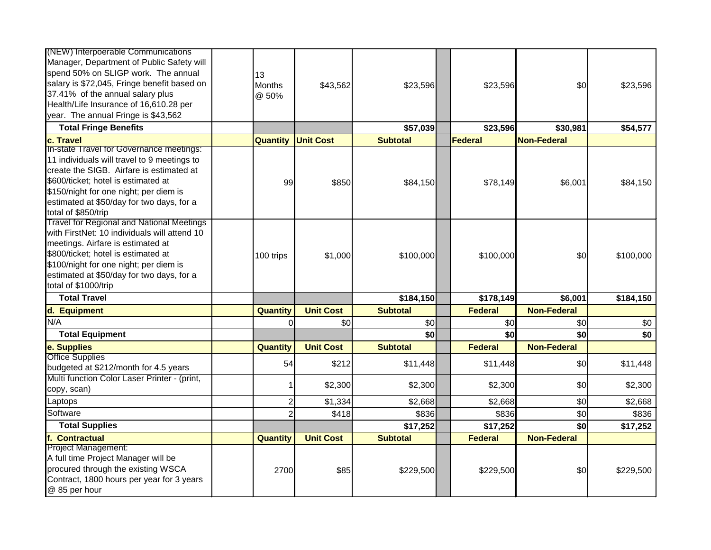| (NEW) Interpoerable Communications<br>Manager, Department of Public Safety will<br>spend 50% on SLIGP work. The annual<br>salary is \$72,045, Fringe benefit based on<br>37.41% of the annual salary plus<br>Health/Life Insurance of 16,610.28 per<br>year. The annual Fringe is \$43,562  | 13<br><b>Months</b><br>@ 50% | \$43,562         | \$23,596        | \$23,596       | \$0                | \$23,596  |
|---------------------------------------------------------------------------------------------------------------------------------------------------------------------------------------------------------------------------------------------------------------------------------------------|------------------------------|------------------|-----------------|----------------|--------------------|-----------|
| <b>Total Fringe Benefits</b>                                                                                                                                                                                                                                                                |                              |                  | \$57,039        | \$23,596       | \$30,981           | \$54,577  |
| c. Travel                                                                                                                                                                                                                                                                                   | <b>Quantity</b>              | <b>Unit Cost</b> | <b>Subtotal</b> | <b>Federal</b> | <b>Non-Federal</b> |           |
| In-state Travel for Governance meetings:<br>11 individuals will travel to 9 meetings to<br>create the SIGB. Airfare is estimated at<br>\$600/ticket; hotel is estimated at<br>\$150/night for one night; per diem is<br>estimated at \$50/day for two days, for a<br>total of \$850/trip    | 99                           | \$850            | \$84,150        | \$78,149       | \$6,001            | \$84,150  |
| <b>Travel for Regional and National Meetings</b><br>with FirstNet: 10 individuals will attend 10<br>meetings. Airfare is estimated at<br>\$800/ticket; hotel is estimated at<br>\$100/night for one night; per diem is<br>estimated at \$50/day for two days, for a<br>total of \$1000/trip | 100 trips                    | \$1,000          | \$100,000       | \$100,000      | \$0                | \$100,000 |
| <b>Total Travel</b>                                                                                                                                                                                                                                                                         |                              |                  | \$184,150       | \$178,149      | \$6,001            | \$184,150 |
| d. Equipment                                                                                                                                                                                                                                                                                | Quantity                     | <b>Unit Cost</b> | <b>Subtotal</b> | <b>Federal</b> | <b>Non-Federal</b> |           |
| N/A                                                                                                                                                                                                                                                                                         |                              | \$0              | \$0             | \$0            | \$0                | \$0       |
| <b>Total Equipment</b>                                                                                                                                                                                                                                                                      |                              |                  | \$0             | \$0            | \$0                | \$0       |
| e. Supplies                                                                                                                                                                                                                                                                                 | Quantity                     | <b>Unit Cost</b> | <b>Subtotal</b> | <b>Federal</b> | <b>Non-Federal</b> |           |
| <b>Office Supplies</b><br>budgeted at \$212/month for 4.5 years                                                                                                                                                                                                                             | 54                           | \$212            | \$11,448        | \$11,448       | \$0                | \$11,448  |
| Multi function Color Laser Printer - (print,<br>copy, scan)                                                                                                                                                                                                                                 |                              | \$2,300          | \$2,300         | \$2,300        | \$0                | \$2,300   |
| Laptops                                                                                                                                                                                                                                                                                     | $\overline{c}$               | \$1,334          | \$2,668         | \$2,668        | \$0                | \$2,668   |
| Software                                                                                                                                                                                                                                                                                    | $\overline{2}$               | \$418            | \$836           | \$836          | \$0                | \$836     |
| <b>Total Supplies</b>                                                                                                                                                                                                                                                                       |                              |                  | \$17,252        | \$17,252       | \$0                | \$17,252  |
| f. Contractual                                                                                                                                                                                                                                                                              | <b>Quantity</b>              | <b>Unit Cost</b> | <b>Subtotal</b> | <b>Federal</b> | <b>Non-Federal</b> |           |
| <b>Project Management:</b><br>A full time Project Manager will be<br>procured through the existing WSCA<br>Contract, 1800 hours per year for 3 years<br>@ 85 per hour                                                                                                                       | 2700                         | \$85             | \$229,500       | \$229,500      | \$0                | \$229,500 |